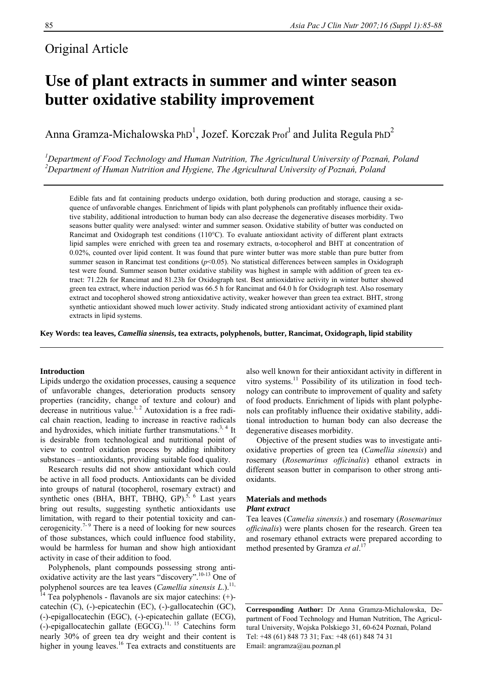## Original Article

# **Use of plant extracts in summer and winter season butter oxidative stability improvement**

Anna Gramza-Michalowska PhD<sup>1</sup>, Jozef. Korczak Prof<sup>1</sup> and Julita Regula PhD<sup>2</sup>

*1 Department of Food Technology and Human Nutrition, The Agricultural University of Poznań, Poland 2 Department of Human Nutrition and Hygiene, The Agricultural University of Poznań, Poland* 

Edible fats and fat containing products undergo oxidation, both during production and storage, causing a sequence of unfavorable changes. Enrichment of lipids with plant polyphenols can profitably influence their oxidative stability, additional introduction to human body can also decrease the degenerative diseases morbidity. Two seasons butter quality were analysed: winter and summer season. Oxidative stability of butter was conducted on Rancimat and Oxidograph test conditions (110°C). To evaluate antioxidant activity of different plant extracts lipid samples were enriched with green tea and rosemary extracts, α-tocopherol and BHT at concentration of 0.02%, counted over lipid content. It was found that pure winter butter was more stable than pure butter from summer season in Rancimat test conditions (*p*<0.05). No statistical differences between samples in Oxidograph test were found. Summer season butter oxidative stability was highest in sample with addition of green tea extract: 71.22h for Rancimat and 81.23h for Oxidograph test. Best antioxidative activity in winter butter showed green tea extract, where induction period was 66.5 h for Rancimat and 64.0 h for Oxidograph test. Also rosemary extract and tocopherol showed strong antioxidative activity, weaker however than green tea extract. BHT, strong synthetic antioxidant showed much lower activity. Study indicated strong antioxidant activity of examined plant extracts in lipid systems.

**Key Words: tea leaves,** *Camellia sinensis***, tea extracts, polyphenols, butter, Rancimat, Oxidograph, lipid stability** 

#### **Introduction**

Lipids undergo the oxidation processes, causing a sequence of unfavorable changes, deterioration products sensory properties (rancidity, change of texture and colour) and decrease in nutritious value.<sup>1, 2</sup> Autoxidation is a free radical chain reaction, leading to increase in reactive radicals and hydroxides, which initiate further transmutations.<sup>3, 4</sup> It is desirable from technological and nutritional point of view to control oxidation process by adding inhibitory substances – antioxidants, providing suitable food quality.

 Research results did not show antioxidant which could be active in all food products. Antioxidants can be divided into groups of natural (tocopherol, rosemary extract) and synthetic ones (BHA, BHT, TBHO, GP).<sup>5, 6</sup> Last years bring out results, suggesting synthetic antioxidants use limitation, with regard to their potential toxicity and cancerogenicity.<sup> $7-9$ </sup> There is a need of looking for new sources of those substances, which could influence food stability, would be harmless for human and show high antioxidant activity in case of their addition to food.

 Polyphenols, plant compounds possessing strong antioxidative activity are the last years "discovery".10-13 One of polyphenol sources are tea leaves (*Camellia sinensis L*.).11,

 $\frac{1}{4}$  Tea polyphenols - flavanols are six major catechins: (+)catechin (C), (-)-epicatechin (EC), (-)-gallocatechin (GC), (-)-epigallocatechin (EGC), (-)-epicatechin gallate (ECG),  $(-)$ -epigallocatechin gallate (EGCG).<sup>11, 15</sup> Catechins form nearly 30% of green tea dry weight and their content is higher in young leaves.<sup>16</sup> Tea extracts and constituents are

also well known for their antioxidant activity in different in vitro systems.<sup>11</sup> Possibility of its utilization in food technology can contribute to improvement of quality and safety of food products. Enrichment of lipids with plant polyphenols can profitably influence their oxidative stability, additional introduction to human body can also decrease the degenerative diseases morbidity.

 Objective of the present studies was to investigate antioxidative properties of green tea (*Camellia sinensis*) and rosemary (*Rosemarinus officinalis*) ethanol extracts in different season butter in comparison to other strong antioxidants.

### **Materials and methods**  *Plant extract*

Tea leaves (*Camelia sinensis*.) and rosemary (*Rosemarinus officinalis*) were plants chosen for the research. Green tea and rosemary ethanol extracts were prepared according to method presented by Gramza *et al*. 17

**Corresponding Author:** Dr Anna Gramza-Michalowska, Department of Food Technology and Human Nutrition, The Agricultural University, Wojska Polskiego 31, 60-624 Poznań, Poland Tel: +48 (61) 848 73 31; Fax: +48 (61) 848 74 31 Email: [angramza@au.poznan.pl](mailto:angramza@au.poznan.pl)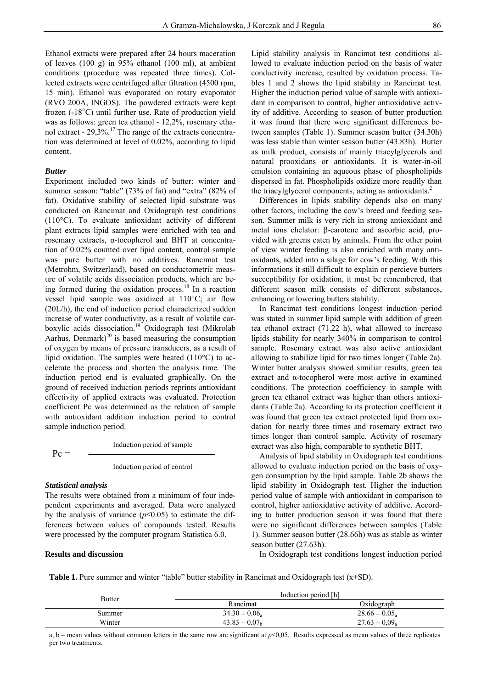Ethanol extracts were prepared after 24 hours maceration of leaves (100 g) in 95% ethanol (100 ml), at ambient conditions (procedure was repeated three times). Collected extracts were centrifuged after filtration (4500 rpm, 15 min). Ethanol was evaporated on rotary evaporator (RVO 200A, INGOS). The powdered extracts were kept frozen (-18°C) until further use. Rate of production yield was as follows: green tea ethanol - 12,2%, rosemary ethanol extract -  $29,3\%$ .<sup>17</sup> The range of the extracts concentration was determined at level of 0.02%, according to lipid content.

#### *Butter*

Experiment included two kinds of butter: winter and summer season: "table" (73% of fat) and "extra" (82% of fat). Oxidative stability of selected lipid substrate was conducted on Rancimat and Oxidograph test conditions (110°C). To evaluate antioxidant activity of different plant extracts lipid samples were enriched with tea and rosemary extracts, α-tocopherol and BHT at concentration of 0.02% counted over lipid content, control sample was pure butter with no additives. Rancimat test (Metrohm, Switzerland), based on conductometric measure of volatile acids dissociation products, which are being formed during the oxidation process.<sup>18</sup> In a reaction vessel lipid sample was oxidized at 110°C; air flow (20L/h), the end of induction period characterized sudden increase of water conductivity, as a result of volatile carboxylic acids dissociation.<sup>19</sup> Oxidograph test (Mikrolab Aarhus, Denmark)<sup>20</sup> is based measuring the consumption of oxygen by means of pressure transducers, as a result of lipid oxidation. The samples were heated  $(110^{\circ}C)$  to accelerate the process and shorten the analysis time. The induction period end is evaluated graphically. On the ground of received induction periods reprints antioxidant effectivity of applied extracts was evaluated. Protection coefficient Pc was determined as the relation of sample with antioxidant addition induction period to control sample induction period.

$$
Pc = \frac{Induction period of sample}{Induction period of control}
$$

#### *Statistical analysis*

The results were obtained from a minimum of four independent experiments and averaged. Data were analyzed by the analysis of variance (*p*≤0.05) to estimate the differences between values of compounds tested. Results were processed by the computer program Statistica 6.0.

### **Results and discussion**

Lipid stability analysis in Rancimat test conditions allowed to evaluate induction period on the basis of water conductivity increase, resulted by oxidation process. Tables 1 and 2 shows the lipid stability in Rancimat test. Higher the induction period value of sample with antioxidant in comparison to control, higher antioxidative activity of additive. According to season of butter production it was found that there were significant differences between samples (Table 1). Summer season butter (34.30h) was less stable than winter season butter (43.83h). Butter as milk product, consists of mainly triacylglycerols and natural prooxidans or antioxidants. It is water-in-oil emulsion containing an aqueous phase of phospholipids dispersed in fat. Phospholipids oxidize more readily than the triacylglycerol components, acting as antioxidants.<sup>2</sup>

 Differences in lipids stability depends also on many other factors, including the cow's breed and feeding season. Summer milk is very rich in strong antioxidant and metal ions chelator: β-carotene and ascorbic acid, provided with greens eaten by animals. From the other point of view winter feeding is also enriched with many antioxidants, added into a silage for cow's feeding. With this informations it still difficult to explain or percieve butters succeptibility for oxidation, it must be remembered, that different season milk consists of different substances, enhancing or lowering butters stability.

 In Rancimat test conditions longest induction period was stated in summer lipid sample with addition of green tea ethanol extract (71.22 h), what allowed to increase lipids stability for nearly 340% in comparison to control sample. Rosemary extract was also active antioxidant allowing to stabilize lipid for two times longer (Table 2a). Winter butter analysis showed similiar results, green tea extract and α-tocopherol were most active in examined conditions. The protection coefficiency in sample with green tea ethanol extract was higher than others antioxidants (Table 2a). According to its protection coefficient it was found that green tea extract protected lipid from oxidation for nearly three times and rosemary extract two times longer than control sample. Activity of rosemary extract was also high, comparable to synthetic BHT.

 Analysis of lipid stability in Oxidograph test conditions allowed to evaluate induction period on the basis of oxygen consumption by the lipid sample. Table 2b shows the lipid stability in Oxidograph test. Higher the induction period value of sample with antioxidant in comparison to control, higher antioxidative activity of additive. According to butter production season it was found that there were no significant differences between samples (Table 1). Summer season butter (28.66h) was as stable as winter season butter (27.63h).

In Oxidograph test conditions longest induction period

Table 1. Pure summer and winter "table" butter stability in Rancimat and Oxidograph test (x±SD).

| Butter | Induction period [h]          |                               |  |
|--------|-------------------------------|-------------------------------|--|
|        | Rancimat                      | Oxidograph                    |  |
| Summer | $34.30 \pm 0.06$              | $28.66 \pm 0.05$ <sub>a</sub> |  |
| Winter | $43.83 \pm 0.07$ <sub>h</sub> | $27.63 \pm 0.09$              |  |

a, b – mean values without common letters in the same row are significant at  $p<0,05$ . Results expressed as mean values of three replicates per two treatments.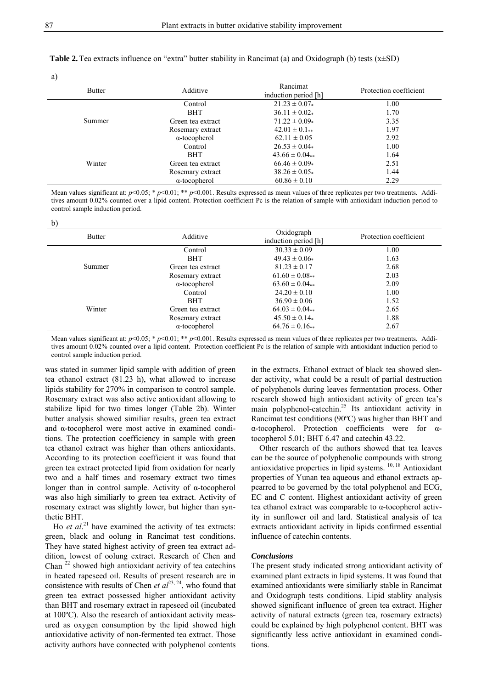**Table 2.**Tea extracts influence on "extra" butter stability in Rancimat (a) and Oxidograph (b) tests (x±SD)

| н<br>۰,<br>٦<br>I<br>v |  |
|------------------------|--|

 $\mathbf{h}$ 

| <b>Butter</b> | Additive             | Rancimat<br>induction period [h] | Protection coefficient |
|---------------|----------------------|----------------------------------|------------------------|
| Summer        | Control              | $21.23 \pm 0.07*$                | 1.00                   |
|               | <b>BHT</b>           | $36.11 \pm 0.02*$                | 1.70                   |
|               | Green tea extract    | $71.22 \pm 0.09*$                | 3.35                   |
|               | Rosemary extract     | $42.01 \pm 0.1**$                | 1.97                   |
|               | $\alpha$ -tocopherol | $62.11 \pm 0.05$                 | 2.92                   |
| Winter        | Control              | $26.53 \pm 0.04*$                | 1.00                   |
|               | <b>BHT</b>           | $43.66 \pm 0.04**$               | 1.64                   |
|               | Green tea extract    | $66.46 \pm 0.09*$                | 2.51                   |
|               | Rosemary extract     | $38.26 \pm 0.05*$                | 1.44                   |
|               | $\alpha$ -tocopherol | $60.86 \pm 0.10$                 | 2.29                   |

Mean values significant at:  $p<0.05$ ; \*  $p<0.01$ ; \*\*  $p<0.001$ . Results expressed as mean values of three replicates per two treatments. Additives amount 0.02% counted over a lipid content. Protection coefficient Pc is the relation of sample with antioxidant induction period to control sample induction period.

| υ,<br><b>Butter</b> | Additive             | Oxidograph<br>induction period [h] | Protection coefficient |
|---------------------|----------------------|------------------------------------|------------------------|
| Summer              | Control              | $30.33 \pm 0.09$                   | 1.00                   |
|                     | <b>BHT</b>           | $49.43 \pm 0.06*$                  | 1.63                   |
|                     | Green tea extract    | $81.23 \pm 0.17$                   | 2.68                   |
|                     | Rosemary extract     | $61.60 \pm 0.08**$                 | 2.03                   |
|                     | $\alpha$ -tocopherol | $63.60 \pm 0.04**$                 | 2.09                   |
| Winter              | Control              | $24.20 \pm 0.10$                   | 1.00                   |
|                     | <b>BHT</b>           | $36.90 \pm 0.06$                   | 1.52                   |
|                     | Green tea extract    | $64.03 \pm 0.04**$                 | 2.65                   |
|                     | Rosemary extract     | $45.50 \pm 0.14*$                  | 1.88                   |
|                     | $\alpha$ -tocopherol | $64.76 \pm 0.16**$                 | 2.67                   |

Mean values significant at:  $p<0.05$ ; \*  $p<0.01$ ; \*\*  $p<0.001$ . Results expressed as mean values of three replicates per two treatments. Additives amount 0.02% counted over a lipid content. Protection coefficient Pc is the relation of sample with antioxidant induction period to control sample induction period.

was stated in summer lipid sample with addition of green tea ethanol extract (81.23 h), what allowed to increase lipids stability for 270% in comparison to control sample. Rosemary extract was also active antioxidant allowing to stabilize lipid for two times longer (Table 2b). Winter butter analysis showed similiar results, green tea extract and α-tocopherol were most active in examined conditions. The protection coefficiency in sample with green tea ethanol extract was higher than others antioxidants. According to its protection coefficient it was found that green tea extract protected lipid from oxidation for nearly two and a half times and rosemary extract two times longer than in control sample. Activity of α-tocopherol was also high similiarly to green tea extract. Activity of rosemary extract was slightly lower, but higher than synthetic BHT.

Ho *et al.*<sup>21</sup> have examined the activity of tea extracts: green, black and oolung in Rancimat test conditions. They have stated highest activity of green tea extract addition, lowest of oolung extract. Research of Chen and Chan  $^{22}$  showed high antioxidant activity of tea catechins in heated rapeseed oil. Results of present research are in consistence with results of Chen *et al*<sup>23, 24</sup>, who found that green tea extract possessed higher antioxidant activity than BHT and rosemary extract in rapeseed oil (incubated at 100ºC). Also the research of antioxidant activity measured as oxygen consumption by the lipid showed high antioxidative activity of non-fermented tea extract. Those activity authors have connected with polyphenol contents

in the extracts. Ethanol extract of black tea showed slender activity, what could be a result of partial destruction of polyphenols during leaves fermentation process. Other research showed high antioxidant activity of green tea's main polyphenol-catechin.25 Its antioxidant activity in Rancimat test conditions (90ºC) was higher than BHT and α-tocopherol. Protection coefficients were for tocopherol 5.01; BHT 6.47 and catechin 43.22.

 Other research of the authors showed that tea leaves can be the source of polyphenolic compounds with strong antioxidative properties in lipid systems. 10, 18 Antioxidant properties of Yunan tea aqueous and ethanol extracts appearred to be governed by the total polyphenol and ECG, EC and C content. Highest antioxidant activity of green tea ethanol extract was comparable to α-tocopherol activity in sunflower oil and lard. Statistical analysis of tea extracts antioxidant activity in lipids confirmed essential influence of catechin contents.

#### *Conclusions*

The present study indicated strong antioxidant activity of examined plant extracts in lipid systems. It was found that examined antioxidants were similiarly stable in Rancimat and Oxidograph tests conditions. Lipid stablity analysis showed significant influence of green tea extract. Higher activity of natural extracts (green tea, rosemary extracts) could be explained by high polyphenol content. BHT was significantly less active antioxidant in examined conditions.